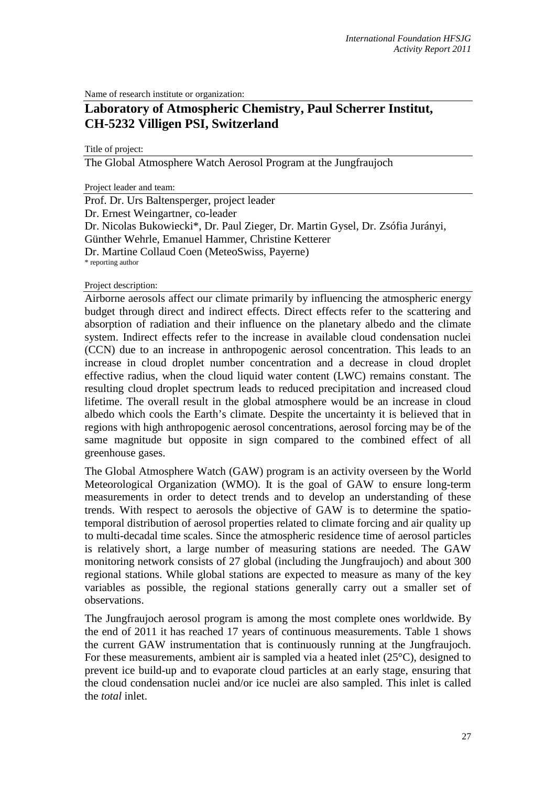Name of research institute or organization:

# **Laboratory of Atmospheric Chemistry, Paul Scherrer Institut, CH-5232 Villigen PSI, Switzerland**

Title of project:

The Global Atmosphere Watch Aerosol Program at the Jungfraujoch

Project leader and team:

Prof. Dr. Urs Baltensperger, project leader Dr. Ernest Weingartner, co-leader Dr. Nicolas Bukowiecki\*, Dr. Paul Zieger, Dr. Martin Gysel, Dr. Zsófia Jurányi, Günther Wehrle, Emanuel Hammer, Christine Ketterer Dr. Martine Collaud Coen (MeteoSwiss, Payerne) \* reporting author

#### Project description:

Airborne aerosols affect our climate primarily by influencing the atmospheric energy budget through direct and indirect effects. Direct effects refer to the scattering and absorption of radiation and their influence on the planetary albedo and the climate system. Indirect effects refer to the increase in available cloud condensation nuclei (CCN) due to an increase in anthropogenic aerosol concentration. This leads to an increase in cloud droplet number concentration and a decrease in cloud droplet effective radius, when the cloud liquid water content (LWC) remains constant. The resulting cloud droplet spectrum leads to reduced precipitation and increased cloud lifetime. The overall result in the global atmosphere would be an increase in cloud albedo which cools the Earth's climate. Despite the uncertainty it is believed that in regions with high anthropogenic aerosol concentrations, aerosol forcing may be of the same magnitude but opposite in sign compared to the combined effect of all greenhouse gases.

The Global Atmosphere Watch (GAW) program is an activity overseen by the World Meteorological Organization (WMO). It is the goal of GAW to ensure long-term measurements in order to detect trends and to develop an understanding of these trends. With respect to aerosols the objective of GAW is to determine the spatiotemporal distribution of aerosol properties related to climate forcing and air quality up to multi-decadal time scales. Since the atmospheric residence time of aerosol particles is relatively short, a large number of measuring stations are needed. The GAW monitoring network consists of 27 global (including the Jungfraujoch) and about 300 regional stations. While global stations are expected to measure as many of the key variables as possible, the regional stations generally carry out a smaller set of observations.

The Jungfraujoch aerosol program is among the most complete ones worldwide. By the end of 2011 it has reached 17 years of continuous measurements. Table 1 shows the current GAW instrumentation that is continuously running at the Jungfraujoch. For these measurements, ambient air is sampled via a heated inlet (25°C), designed to prevent ice build-up and to evaporate cloud particles at an early stage, ensuring that the cloud condensation nuclei and/or ice nuclei are also sampled. This inlet is called the *total* inlet.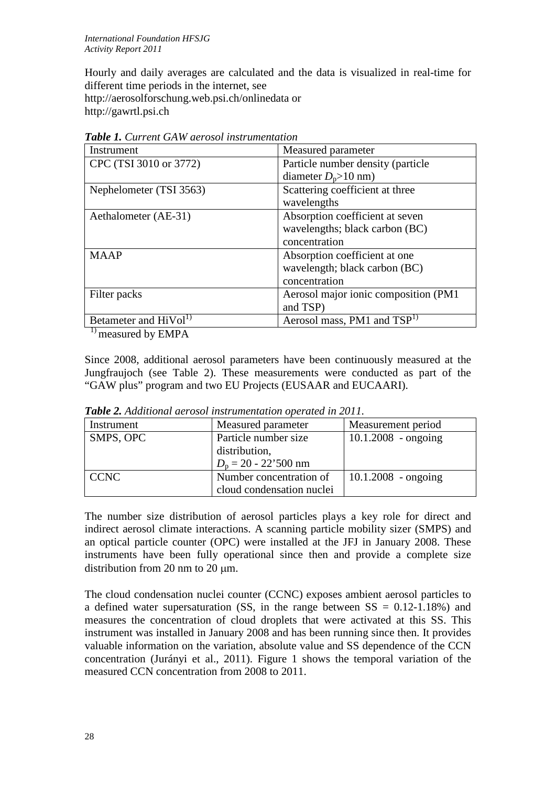Hourly and daily averages are calculated and the data is visualized in real-time for different time periods in the internet, see http://aerosolforschung.web.psi.ch/onlinedata or http://gawrtl.psi.ch

| Instrument                        | Measured parameter                      |
|-----------------------------------|-----------------------------------------|
| CPC (TSI 3010 or 3772)            | Particle number density (particle       |
|                                   | diameter $D_p>10$ nm)                   |
| Nephelometer (TSI 3563)           | Scattering coefficient at three         |
|                                   | wavelengths                             |
| Aethalometer (AE-31)              | Absorption coefficient at seven         |
|                                   | wavelengths; black carbon (BC)          |
|                                   | concentration                           |
| <b>MAAP</b>                       | Absorption coefficient at one           |
|                                   | wavelength; black carbon (BC)           |
|                                   | concentration                           |
| Filter packs                      | Aerosol major ionic composition (PM1    |
|                                   | and TSP)                                |
| Betameter and HiVol <sup>1)</sup> | Aerosol mass, PM1 and TSP <sup>1)</sup> |

*Table 1. Current GAW aerosol instrumentation*

<sup>1)</sup> measured by EMPA

Since 2008, additional aerosol parameters have been continuously measured at the Jungfraujoch (see Table 2). These measurements were conducted as part of the "GAW plus" program and two EU Projects (EUSAAR and EUCAARI).

| Instrument  | Measured parameter        | Measurement period    |
|-------------|---------------------------|-----------------------|
| SMPS, OPC   | Particle number size      | $10.1.2008 - ongoing$ |
|             | distribution,             |                       |
|             | $D_p = 20 - 22'500$ nm    |                       |
| <b>CCNC</b> | Number concentration of   | $10.1.2008 - ongoing$ |
|             | cloud condensation nuclei |                       |

*Table 2. Additional aerosol instrumentation operated in 2011.*

The number size distribution of aerosol particles plays a key role for direct and indirect aerosol climate interactions. A scanning particle mobility sizer (SMPS) and an optical particle counter (OPC) were installed at the JFJ in January 2008. These instruments have been fully operational since then and provide a complete size distribution from 20 nm to 20 µm.

The cloud condensation nuclei counter (CCNC) exposes ambient aerosol particles to a defined water supersaturation (SS, in the range between  $SS = 0.12{\text -}1.18\%$ ) and measures the concentration of cloud droplets that were activated at this SS. This instrument was installed in January 2008 and has been running since then. It provides valuable information on the variation, absolute value and SS dependence of the CCN concentration (Jurányi et al., 2011). Figure 1 shows the temporal variation of the measured CCN concentration from 2008 to 2011.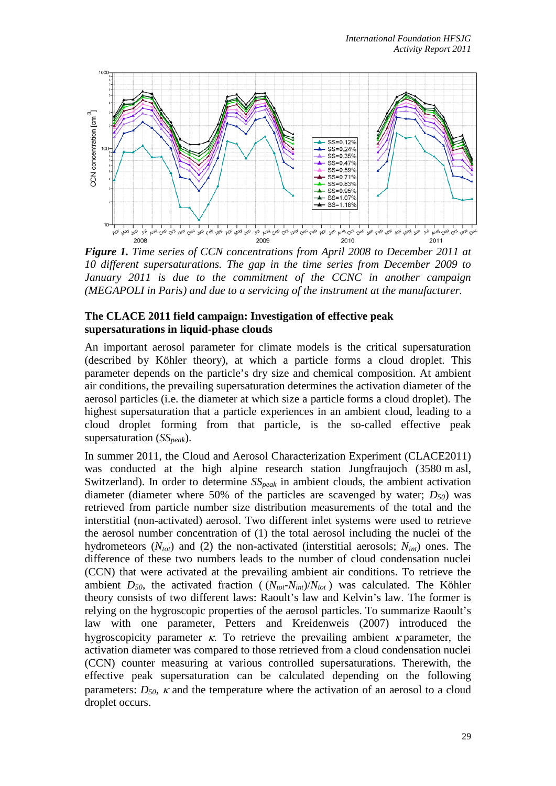

*Figure 1. Time series of CCN concentrations from April 2008 to December 2011 at 10 different supersaturations. The gap in the time series from December 2009 to January 2011 is due to the commitment of the CCNC in another campaign (MEGAPOLI in Paris) and due to a servicing of the instrument at the manufacturer.*

#### **The CLACE 2011 field campaign: Investigation of effective peak supersaturations in liquid-phase clouds**

An important aerosol parameter for climate models is the critical supersaturation (described by Köhler theory), at which a particle forms a cloud droplet. This parameter depends on the particle's dry size and chemical composition. At ambient air conditions, the prevailing supersaturation determines the activation diameter of the aerosol particles (i.e. the diameter at which size a particle forms a cloud droplet). The highest supersaturation that a particle experiences in an ambient cloud, leading to a cloud droplet forming from that particle, is the so-called effective peak supersaturation (*SSpeak*).

In summer 2011, the Cloud and Aerosol Characterization Experiment (CLACE2011) was conducted at the high alpine research station Jungfraujoch (3580 m asl, Switzerland). In order to determine  $SS_{peak}$  in ambient clouds, the ambient activation diameter (diameter where 50% of the particles are scavenged by water;  $D_{50}$ ) was retrieved from particle number size distribution measurements of the total and the interstitial (non-activated) aerosol. Two different inlet systems were used to retrieve the aerosol number concentration of (1) the total aerosol including the nuclei of the hydrometeors  $(N_{tot})$  and (2) the non-activated (interstitial aerosols;  $N_{int}$ ) ones. The difference of these two numbers leads to the number of cloud condensation nuclei (CCN) that were activated at the prevailing ambient air conditions. To retrieve the ambient  $D_{50}$ , the activated fraction ( $(N_{tot} - N_{int})/N_{tot}$ ) was calculated. The Köhler theory consists of two different laws: Raoult's law and Kelvin's law. The former is relying on the hygroscopic properties of the aerosol particles. To summarize Raoult's law with one parameter, Petters and Kreidenweis (2007) introduced the hygroscopicity parameter  $\kappa$ . To retrieve the prevailing ambient  $\kappa$  parameter, the activation diameter was compared to those retrieved from a cloud condensation nuclei (CCN) counter measuring at various controlled supersaturations. Therewith, the effective peak supersaturation can be calculated depending on the following parameters:  $D_{50}$ ,  $\kappa$  and the temperature where the activation of an aerosol to a cloud droplet occurs.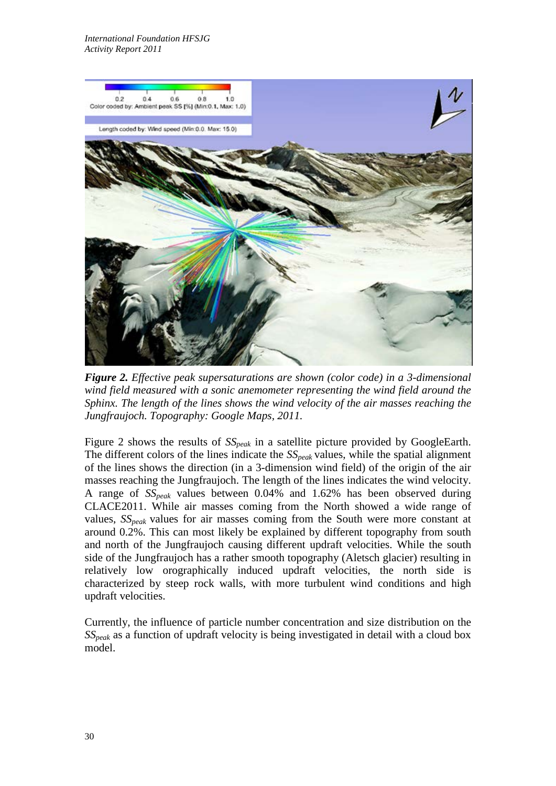

*Figure 2. Effective peak supersaturations are shown (color code) in a 3-dimensional wind field measured with a sonic anemometer representing the wind field around the Sphinx. The length of the lines shows the wind velocity of the air masses reaching the Jungfraujoch. Topography: Google Maps, 2011.*

Figure 2 shows the results of  $SS_{peak}$  in a satellite picture provided by GoogleEarth. The different colors of the lines indicate the *SSpeak* values, while the spatial alignment of the lines shows the direction (in a 3-dimension wind field) of the origin of the air masses reaching the Jungfraujoch. The length of the lines indicates the wind velocity. A range of *SSpeak* values between 0.04% and 1.62% has been observed during CLACE2011. While air masses coming from the North showed a wide range of values, *SSpeak* values for air masses coming from the South were more constant at around 0.2%. This can most likely be explained by different topography from south and north of the Jungfraujoch causing different updraft velocities. While the south side of the Jungfraujoch has a rather smooth topography (Aletsch glacier) resulting in relatively low orographically induced updraft velocities, the north side is characterized by steep rock walls, with more turbulent wind conditions and high updraft velocities.

Currently, the influence of particle number concentration and size distribution on the *SSpeak* as a function of updraft velocity is being investigated in detail with a cloud box model.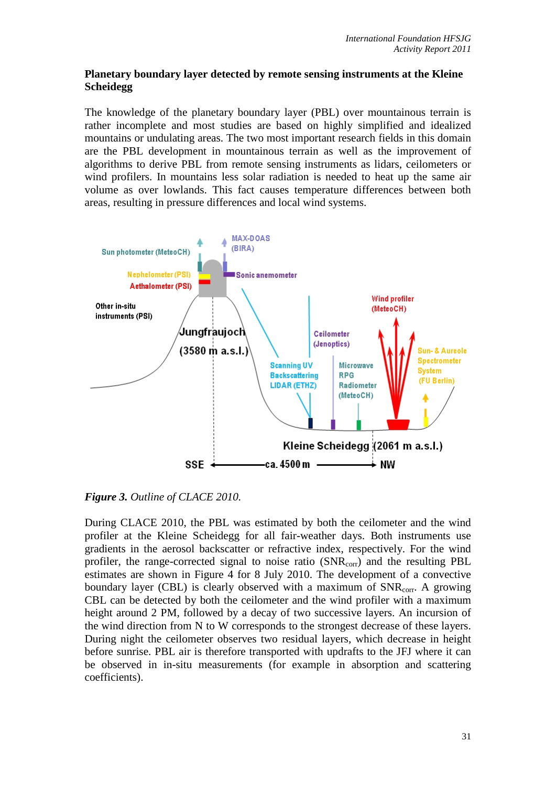## **Planetary boundary layer detected by remote sensing instruments at the Kleine Scheidegg**

The knowledge of the planetary boundary layer (PBL) over mountainous terrain is rather incomplete and most studies are based on highly simplified and idealized mountains or undulating areas. The two most important research fields in this domain are the PBL development in mountainous terrain as well as the improvement of algorithms to derive PBL from remote sensing instruments as lidars, ceilometers or wind profilers. In mountains less solar radiation is needed to heat up the same air volume as over lowlands. This fact causes temperature differences between both areas, resulting in pressure differences and local wind systems.



*Figure 3. Outline of CLACE 2010.*

During CLACE 2010, the PBL was estimated by both the ceilometer and the wind profiler at the Kleine Scheidegg for all fair-weather days. Both instruments use gradients in the aerosol backscatter or refractive index, respectively. For the wind profiler, the range-corrected signal to noise ratio (SNR<sub>corr</sub>) and the resulting PBL estimates are shown in Figure 4 for 8 July 2010. The development of a convective boundary layer (CBL) is clearly observed with a maximum of  $SNR_{corr}$ . A growing CBL can be detected by both the ceilometer and the wind profiler with a maximum height around 2 PM, followed by a decay of two successive layers. An incursion of the wind direction from N to W corresponds to the strongest decrease of these layers. During night the ceilometer observes two residual layers, which decrease in height before sunrise. PBL air is therefore transported with updrafts to the JFJ where it can be observed in in-situ measurements (for example in absorption and scattering coefficients).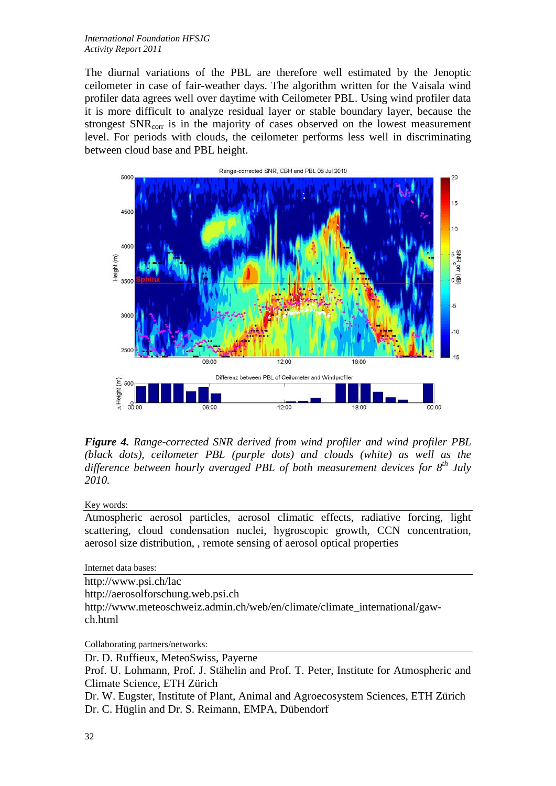#### *International Foundation HFSJG Activity Report 2011*

The diurnal variations of the PBL are therefore well estimated by the Jenoptic ceilometer in case of fair-weather days. The algorithm written for the Vaisala wind profiler data agrees well over daytime with Ceilometer PBL. Using wind profiler data it is more difficult to analyze residual layer or stable boundary layer, because the strongest SNR<sub>corr</sub> is in the majority of cases observed on the lowest measurement level. For periods with clouds, the ceilometer performs less well in discriminating between cloud base and PBL height.



*Figure 4. Range-corrected SNR derived from wind profiler and wind profiler PBL (black dots), ceilometer PBL (purple dots) and clouds (white) as well as the difference between hourly averaged PBL of both measurement devices for 8th July 2010.*

#### Key words:

Atmospheric aerosol particles, aerosol climatic effects, radiative forcing, light scattering, cloud condensation nuclei, hygroscopic growth, CCN concentration, aerosol size distribution, , remote sensing of aerosol optical properties

Internet data bases:

http://www.psi.ch/lac http://aerosolforschung.web.psi.ch http://www.meteoschweiz.admin.ch/web/en/climate/climate\_international/gawch.html

Collaborating partners/networks:

Dr. D. Ruffieux, MeteoSwiss, Payerne

Prof. U. Lohmann, Prof. J. Stähelin and Prof. T. Peter, Institute for Atmospheric and Climate Science, ETH Zürich

Dr. W. Eugster, Institute of Plant, Animal and Agroecosystem Sciences, ETH Zürich Dr. C. Hüglin and Dr. S. Reimann, EMPA, Dübendorf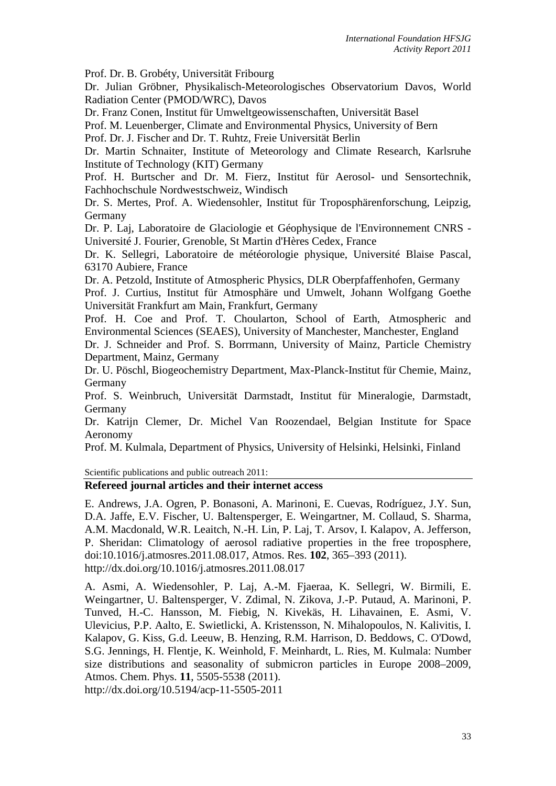Prof. Dr. B. Grobéty, Universität Fribourg

Dr. Julian Gröbner, Physikalisch-Meteorologisches Observatorium Davos, World Radiation Center (PMOD/WRC), Davos

Dr. Franz Conen, Institut für Umweltgeowissenschaften, Universität Basel

Prof. M. Leuenberger, Climate and Environmental Physics, University of Bern

Prof. Dr. J. Fischer and Dr. T. Ruhtz, Freie Universität Berlin

Dr. Martin Schnaiter, Institute of Meteorology and Climate Research, Karlsruhe Institute of Technology (KIT) Germany

Prof. H. Burtscher and Dr. M. Fierz, Institut für Aerosol- und Sensortechnik, Fachhochschule Nordwestschweiz, Windisch

Dr. S. Mertes, Prof. A. Wiedensohler, Institut für Troposphärenforschung, Leipzig, Germany

Dr. P. Laj, Laboratoire de Glaciologie et Géophysique de l'Environnement CNRS - Université J. Fourier, Grenoble, St Martin d'Hères Cedex, France

Dr. K. Sellegri, Laboratoire de météorologie physique, Université Blaise Pascal, 63170 Aubiere, France

Dr. A. Petzold, Institute of Atmospheric Physics, DLR Oberpfaffenhofen, Germany Prof. J. Curtius, Institut für Atmosphäre und Umwelt, Johann Wolfgang Goethe Universität Frankfurt am Main, Frankfurt, Germany

Prof. H. Coe and Prof. T. Choularton, School of Earth, Atmospheric and Environmental Sciences (SEAES), University of Manchester, Manchester, England Dr. J. Schneider and Prof. S. Borrmann, University of Mainz, Particle Chemistry

Department, Mainz, Germany

Dr. U. Pöschl, Biogeochemistry Department, Max-Planck-Institut für Chemie, Mainz, Germany

Prof. S. Weinbruch, Universität Darmstadt, Institut für Mineralogie, Darmstadt, Germany

Dr. Katrijn Clemer, Dr. Michel Van Roozendael, Belgian Institute for Space Aeronomy

Prof. M. Kulmala, Department of Physics, University of Helsinki, Helsinki, Finland

Scientific publications and public outreach 2011:

### **Refereed journal articles and their internet access**

E. Andrews, J.A. Ogren, P. Bonasoni, A. Marinoni, E. Cuevas, Rodríguez, J.Y. Sun, D.A. Jaffe, E.V. Fischer, U. Baltensperger, E. Weingartner, M. Collaud, S. Sharma, A.M. Macdonald, W.R. Leaitch, N.-H. Lin, P. Laj, T. Arsov, I. Kalapov, A. Jefferson, P. Sheridan: Climatology of aerosol radiative properties in the free troposphere, doi:10.1016/j.atmosres.2011.08.017, Atmos. Res. **102**, 365–393 (2011). http://dx.doi.org/10.1016/j.atmosres.2011.08.017

A. Asmi, A. Wiedensohler, P. Laj, A.-M. Fjaeraa, K. Sellegri, W. Birmili, E. Weingartner, U. Baltensperger, V. Zdimal, N. Zikova, J.-P. Putaud, A. Marinoni, P. Tunved, H.-C. Hansson, M. Fiebig, N. Kivekäs, H. Lihavainen, E. Asmi, V. Ulevicius, P.P. Aalto, E. Swietlicki, A. Kristensson, N. Mihalopoulos, N. Kalivitis, I. Kalapov, G. Kiss, G.d. Leeuw, B. Henzing, R.M. Harrison, D. Beddows, C. O'Dowd, S.G. Jennings, H. Flentje, K. Weinhold, F. Meinhardt, L. Ries, M. Kulmala: Number size distributions and seasonality of submicron particles in Europe 2008–2009, Atmos. Chem. Phys. **11**, 5505-5538 (2011).

http://dx.doi.org/10.5194/acp-11-5505-2011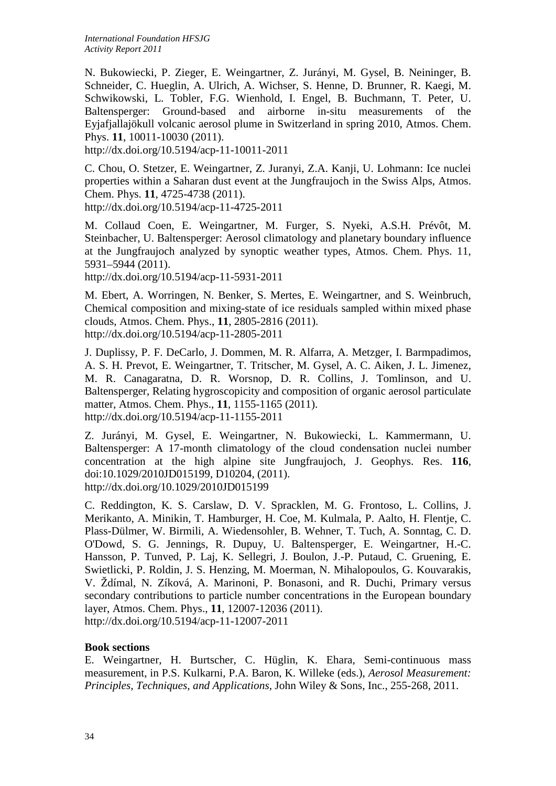N. Bukowiecki, P. Zieger, E. Weingartner, Z. Jurányi, M. Gysel, B. Neininger, B. Schneider, C. Hueglin, A. Ulrich, A. Wichser, S. Henne, D. Brunner, R. Kaegi, M. Schwikowski, L. Tobler, F.G. Wienhold, I. Engel, B. Buchmann, T. Peter, U. Baltensperger: Ground-based and airborne in-situ measurements of the Eyjafjallajökull volcanic aerosol plume in Switzerland in spring 2010, Atmos. Chem. Phys. **11**, 10011-10030 (2011).

http://dx.doi.org/10.5194/acp-11-10011-2011

C. Chou, O. Stetzer, E. Weingartner, Z. Juranyi, Z.A. Kanji, U. Lohmann: Ice nuclei properties within a Saharan dust event at the Jungfraujoch in the Swiss Alps, Atmos. Chem. Phys. **11**, 4725-4738 (2011).

http://dx.doi.org/10.5194/acp-11-4725-2011

M. Collaud Coen, E. Weingartner, M. Furger, S. Nyeki, A.S.H. Prévôt, M. Steinbacher, U. Baltensperger: Aerosol climatology and planetary boundary influence at the Jungfraujoch analyzed by synoptic weather types, Atmos. Chem. Phys. 11, 5931–5944 (2011).

http://dx.doi.org/10.5194/acp-11-5931-2011

M. Ebert, A. Worringen, N. Benker, S. Mertes, E. Weingartner, and S. Weinbruch, Chemical composition and mixing-state of ice residuals sampled within mixed phase clouds, Atmos. Chem. Phys., **11**, 2805-2816 (2011). http://dx.doi.org/10.5194/acp-11-2805-2011

J. Duplissy, P. F. DeCarlo, J. Dommen, M. R. Alfarra, A. Metzger, I. Barmpadimos, A. S. H. Prevot, E. Weingartner, T. Tritscher, M. Gysel, A. C. Aiken, J. L. Jimenez, M. R. Canagaratna, D. R. Worsnop, D. R. Collins, J. Tomlinson, and U. Baltensperger, Relating hygroscopicity and composition of organic aerosol particulate matter, Atmos. Chem. Phys., **11**, 1155-1165 (2011). http://dx.doi.org/10.5194/acp-11-1155-2011

Z. Jurányi, M. Gysel, E. Weingartner, N. Bukowiecki, L. Kammermann, U. Baltensperger: A 17-month climatology of the cloud condensation nuclei number concentration at the high alpine site Jungfraujoch, J. Geophys. Res. **116**, doi:10.1029/2010JD015199, D10204, (2011). http://dx.doi.org/10.1029/2010JD015199

C. Reddington, K. S. Carslaw, D. V. Spracklen, M. G. Frontoso, L. Collins, J. Merikanto, A. Minikin, T. Hamburger, H. Coe, M. Kulmala, P. Aalto, H. Flentje, C. Plass-Dülmer, W. Birmili, A. Wiedensohler, B. Wehner, T. Tuch, A. Sonntag, C. D. O'Dowd, S. G. Jennings, R. Dupuy, U. Baltensperger, E. Weingartner, H.-C. Hansson, P. Tunved, P. Laj, K. Sellegri, J. Boulon, J.-P. Putaud, C. Gruening, E. Swietlicki, P. Roldin, J. S. Henzing, M. Moerman, N. Mihalopoulos, G. Kouvarakis, V. Ždímal, N. Zíková, A. Marinoni, P. Bonasoni, and R. Duchi, Primary versus secondary contributions to particle number concentrations in the European boundary layer, Atmos. Chem. Phys., **11**, 12007-12036 (2011). http://dx.doi.org/10.5194/acp-11-12007-2011

### **Book sections**

E. Weingartner, H. Burtscher, C. Hüglin, K. Ehara, Semi-continuous mass measurement, in P.S. Kulkarni, P.A. Baron, K. Willeke (eds.), *Aerosol Measurement: Principles, Techniques, and Applications*, John Wiley & Sons, Inc., 255-268, 2011.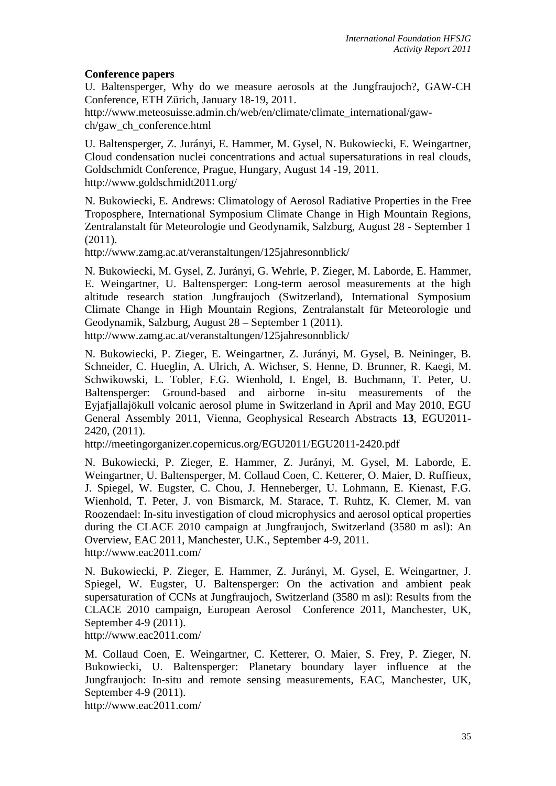## **Conference papers**

U. Baltensperger, Why do we measure aerosols at the Jungfraujoch?, GAW-CH Conference, ETH Zürich, January 18-19, 2011.

http://www.meteosuisse.admin.ch/web/en/climate/climate\_international/gawch/gaw\_ch\_conference.html

U. Baltensperger, Z. Jurányi, E. Hammer, M. Gysel, N. Bukowiecki, E. Weingartner, Cloud condensation nuclei concentrations and actual supersaturations in real clouds, Goldschmidt Conference, Prague, Hungary, August 14 -19, 2011. http://www.goldschmidt2011.org/

N. Bukowiecki, E. Andrews: Climatology of Aerosol Radiative Properties in the Free Troposphere, International Symposium Climate Change in High Mountain Regions, Zentralanstalt für Meteorologie und Geodynamik, Salzburg, August 28 - September 1 (2011).

http://www.zamg.ac.at/veranstaltungen/125jahresonnblick/

N. Bukowiecki, M. Gysel, Z. Jurányi, G. Wehrle, P. Zieger, M. Laborde, E. Hammer, E. Weingartner, U. Baltensperger: Long-term aerosol measurements at the high altitude research station Jungfraujoch (Switzerland), International Symposium Climate Change in High Mountain Regions, Zentralanstalt für Meteorologie und Geodynamik, Salzburg, August 28 – September 1 (2011).

http://www.zamg.ac.at/veranstaltungen/125jahresonnblick/

N. Bukowiecki, P. Zieger, E. Weingartner, Z. Jurányi, M. Gysel, B. Neininger, B. Schneider, C. Hueglin, A. Ulrich, A. Wichser, S. Henne, D. Brunner, R. Kaegi, M. Schwikowski, L. Tobler, F.G. Wienhold, I. Engel, B. Buchmann, T. Peter, U. Baltensperger: Ground-based and airborne in-situ measurements of the Eyjafjallajökull volcanic aerosol plume in Switzerland in April and May 2010, EGU General Assembly 2011, Vienna, Geophysical Research Abstracts **13**, EGU2011- 2420, (2011).

http://meetingorganizer.copernicus.org/EGU2011/EGU2011-2420.pdf

N. Bukowiecki, P. Zieger, E. Hammer, Z. Jurányi, M. Gysel, M. Laborde, E. Weingartner, U. Baltensperger, M. Collaud Coen, C. Ketterer, O. Maier, D. Ruffieux, J. Spiegel, W. Eugster, C. Chou, J. Henneberger, U. Lohmann, E. Kienast, F.G. Wienhold, T. Peter, J. von Bismarck, M. Starace, T. Ruhtz, K. Clemer, M. van Roozendael: In-situ investigation of cloud microphysics and aerosol optical properties during the CLACE 2010 campaign at Jungfraujoch, Switzerland (3580 m asl): An Overview, EAC 2011, Manchester, U.K., September 4-9, 2011. http://www.eac2011.com/

N. Bukowiecki, P. Zieger, E. Hammer, Z. Jurányi, M. Gysel, E. Weingartner, J. Spiegel, W. Eugster, U. Baltensperger: On the activation and ambient peak supersaturation of CCNs at Jungfraujoch, Switzerland (3580 m asl): Results from the CLACE 2010 campaign, European Aerosol Conference 2011, Manchester, UK, September 4-9 (2011).

http://www.eac2011.com/

M. Collaud Coen, E. Weingartner, C. Ketterer, O. Maier, S. Frey, P. Zieger, N. Bukowiecki, U. Baltensperger: Planetary boundary layer influence at the Jungfraujoch: In-situ and remote sensing measurements, EAC, Manchester, UK, September 4-9 (2011).

http://www.eac2011.com/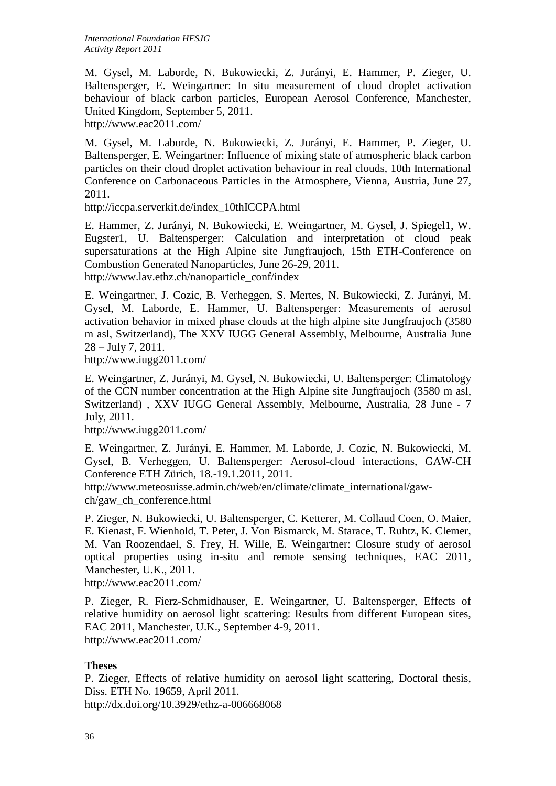M. Gysel, M. Laborde, N. Bukowiecki, Z. Jurányi, E. Hammer, P. Zieger, U. Baltensperger, E. Weingartner: In situ measurement of cloud droplet activation behaviour of black carbon particles, European Aerosol Conference, Manchester, United Kingdom, September 5, 2011.

http://www.eac2011.com/

M. Gysel, M. Laborde, N. Bukowiecki, Z. Jurányi, E. Hammer, P. Zieger, U. Baltensperger, E. Weingartner: Influence of mixing state of atmospheric black carbon particles on their cloud droplet activation behaviour in real clouds, 10th International Conference on Carbonaceous Particles in the Atmosphere, Vienna, Austria, June 27, 2011.

http://iccpa.serverkit.de/index\_10thICCPA.html

E. Hammer, Z. Jurányi, N. Bukowiecki, E. Weingartner, M. Gysel, J. Spiegel1, W. Eugster1, U. Baltensperger: Calculation and interpretation of cloud peak supersaturations at the High Alpine site Jungfraujoch, 15th ETH-Conference on Combustion Generated Nanoparticles, June 26-29, 2011. http://www.lav.ethz.ch/nanoparticle\_conf/index

E. Weingartner, J. Cozic, B. Verheggen, S. Mertes, N. Bukowiecki, Z. Jurányi, M. Gysel, M. Laborde, E. Hammer, U. Baltensperger: Measurements of aerosol activation behavior in mixed phase clouds at the high alpine site Jungfraujoch (3580 m asl, Switzerland), The XXV IUGG General Assembly, Melbourne, Australia June 28 – July 7, 2011.

http://www.iugg2011.com/

E. Weingartner, Z. Jurányi, M. Gysel, N. Bukowiecki, U. Baltensperger: Climatology of the CCN number concentration at the High Alpine site Jungfraujoch (3580 m asl, Switzerland) , XXV IUGG General Assembly, Melbourne, Australia, 28 June - 7 July, 2011.

http://www.iugg2011.com/

E. Weingartner, Z. Jurányi, E. Hammer, M. Laborde, J. Cozic, N. Bukowiecki, M. Gysel, B. Verheggen, U. Baltensperger: Aerosol-cloud interactions, GAW-CH Conference ETH Zürich, 18.-19.1.2011, 2011.

http://www.meteosuisse.admin.ch/web/en/climate/climate\_international/gawch/gaw\_ch\_conference.html

P. Zieger, N. Bukowiecki, U. Baltensperger, C. Ketterer, M. Collaud Coen, O. Maier, E. Kienast, F. Wienhold, T. Peter, J. Von Bismarck, M. Starace, T. Ruhtz, K. Clemer, M. Van Roozendael, S. Frey, H. Wille, E. Weingartner: Closure study of aerosol optical properties using in-situ and remote sensing techniques, EAC 2011, Manchester, U.K., 2011.

http://www.eac2011.com/

P. Zieger, R. Fierz-Schmidhauser, E. Weingartner, U. Baltensperger, Effects of relative humidity on aerosol light scattering: Results from different European sites, EAC 2011, Manchester, U.K., September 4-9, 2011. http://www.eac2011.com/

### **Theses**

P. Zieger, Effects of relative humidity on aerosol light scattering, Doctoral thesis, Diss. ETH No. 19659, April 2011.

http://dx.doi.org/10.3929/ethz-a-006668068